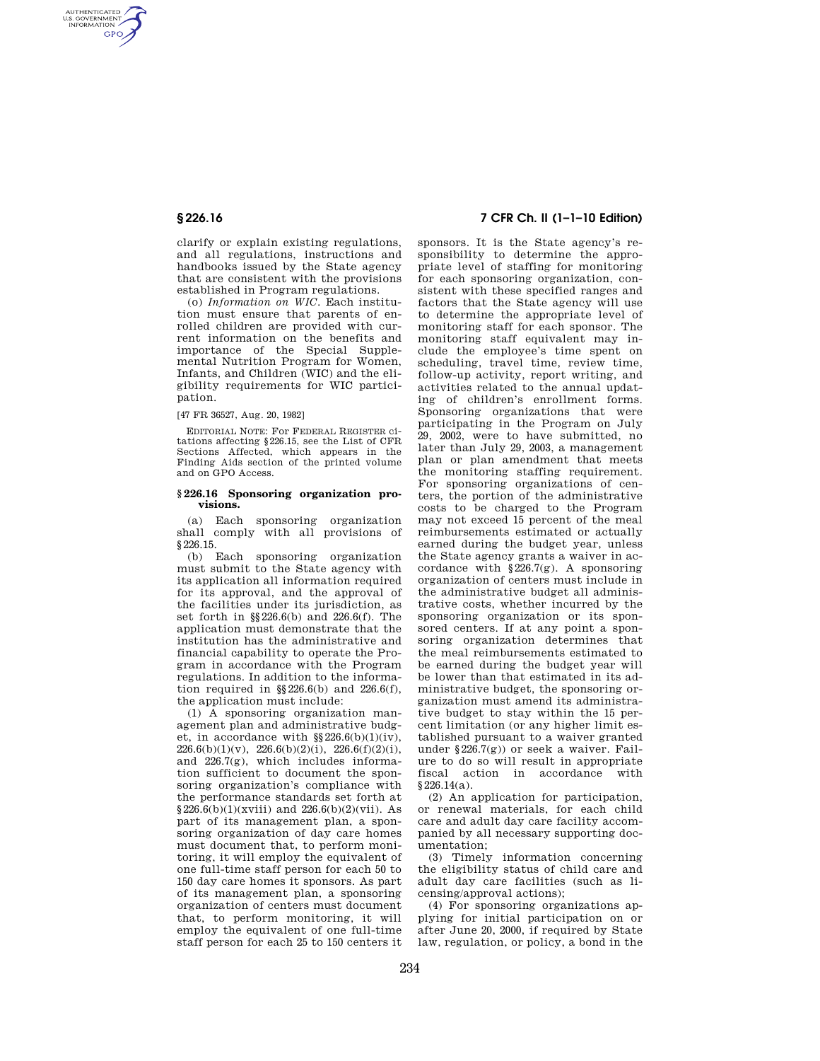AUTHENTICATED<br>U.S. GOVERNMENT<br>INFORMATION **GPO** 

> clarify or explain existing regulations, and all regulations, instructions and handbooks issued by the State agency that are consistent with the provisions established in Program regulations.

> (o) *Information on WIC*. Each institution must ensure that parents of enrolled children are provided with current information on the benefits and importance of the Special Supplemental Nutrition Program for Women, Infants, and Children (WIC) and the eligibility requirements for WIC participation.

#### [47 FR 36527, Aug. 20, 1982]

EDITORIAL NOTE: For FEDERAL REGISTER citations affecting §226.15, see the List of CFR Sections Affected, which appears in the Finding Aids section of the printed volume and on GPO Access.

### **§ 226.16 Sponsoring organization provisions.**

(a) Each sponsoring organization shall comply with all provisions of §226.15.

(b) Each sponsoring organization must submit to the State agency with its application all information required for its approval, and the approval of the facilities under its jurisdiction, as set forth in §§226.6(b) and 226.6(f). The application must demonstrate that the institution has the administrative and financial capability to operate the Program in accordance with the Program regulations. In addition to the information required in  $\S$ 226.6(b) and 226.6(f), the application must include:

(1) A sponsoring organization management plan and administrative budget, in accordance with  $\S$ 226.6(b)(1)(iv),  $226.6(b)(1)(v)$ ,  $226.6(b)(2)(i)$ ,  $226.6(f)(2)(i)$ , and 226.7(g), which includes information sufficient to document the sponsoring organization's compliance with the performance standards set forth at  $§226.6(b)(1)(xviii)$  and  $226.6(b)(2)(vii)$ . As part of its management plan, a sponsoring organization of day care homes must document that, to perform monitoring, it will employ the equivalent of one full-time staff person for each 50 to 150 day care homes it sponsors. As part of its management plan, a sponsoring organization of centers must document that, to perform monitoring, it will employ the equivalent of one full-time staff person for each 25 to 150 centers it

# **§ 226.16 7 CFR Ch. II (1–1–10 Edition)**

sponsors. It is the State agency's responsibility to determine the appropriate level of staffing for monitoring for each sponsoring organization, consistent with these specified ranges and factors that the State agency will use to determine the appropriate level of monitoring staff for each sponsor. The monitoring staff equivalent may include the employee's time spent on scheduling, travel time, review time, follow-up activity, report writing, and activities related to the annual updating of children's enrollment forms. Sponsoring organizations that were participating in the Program on July 29, 2002, were to have submitted, no later than July 29, 2003, a management plan or plan amendment that meets the monitoring staffing requirement. For sponsoring organizations of centers, the portion of the administrative costs to be charged to the Program may not exceed 15 percent of the meal reimbursements estimated or actually earned during the budget year, unless the State agency grants a waiver in accordance with  $§226.7(g)$ . A sponsoring organization of centers must include in the administrative budget all administrative costs, whether incurred by the sponsoring organization or its sponsored centers. If at any point a sponsoring organization determines that the meal reimbursements estimated to be earned during the budget year will be lower than that estimated in its administrative budget, the sponsoring organization must amend its administrative budget to stay within the 15 percent limitation (or any higher limit established pursuant to a waiver granted under  $§226.7(g)$  or seek a waiver. Failure to do so will result in appropriate fiscal action in accordance with §226.14(a).

(2) An application for participation, or renewal materials, for each child care and adult day care facility accompanied by all necessary supporting documentation;

(3) Timely information concerning the eligibility status of child care and adult day care facilities (such as licensing/approval actions);

(4) For sponsoring organizations applying for initial participation on or after June 20, 2000, if required by State law, regulation, or policy, a bond in the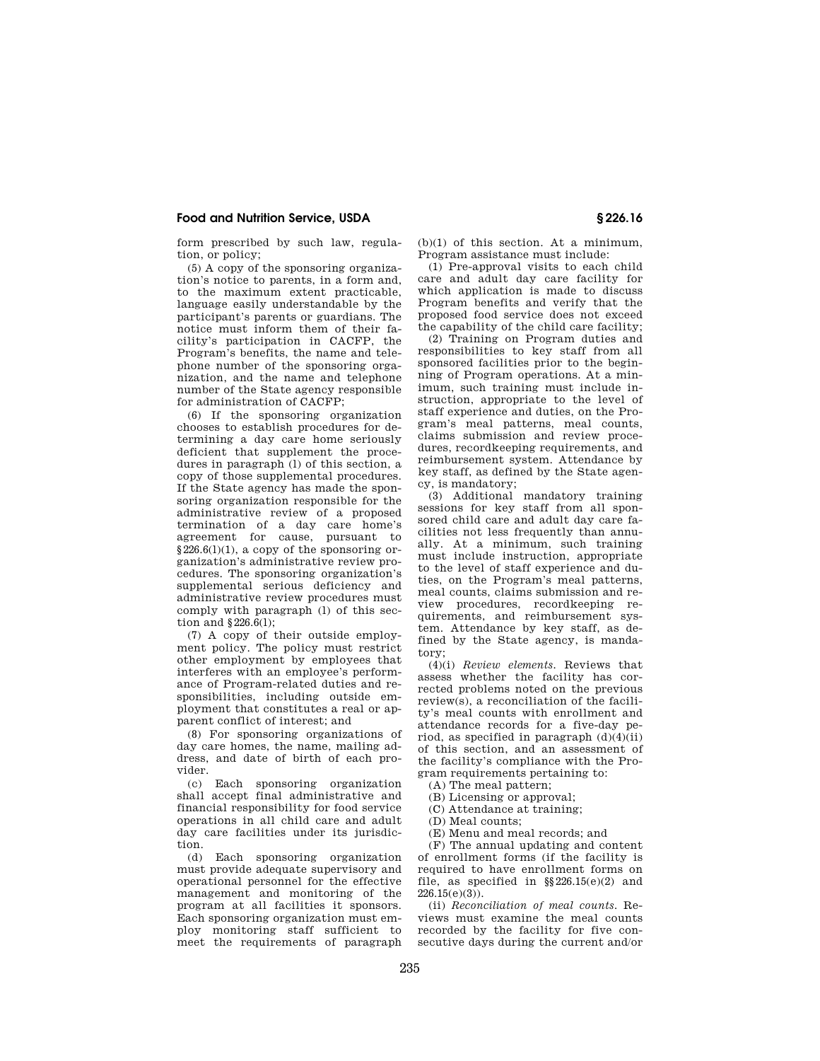## **Food and Nutrition Service, USDA § 226.16**

form prescribed by such law, regulation, or policy;

(5) A copy of the sponsoring organization's notice to parents, in a form and, to the maximum extent practicable, language easily understandable by the participant's parents or guardians. The notice must inform them of their facility's participation in CACFP, the Program's benefits, the name and telephone number of the sponsoring organization, and the name and telephone number of the State agency responsible for administration of CACFP;

(6) If the sponsoring organization chooses to establish procedures for determining a day care home seriously deficient that supplement the procedures in paragraph (l) of this section, a copy of those supplemental procedures. If the State agency has made the sponsoring organization responsible for the administrative review of a proposed termination of a day care home's agreement for cause, pursuant to  $§226.6(1)(1)$ , a copy of the sponsoring organization's administrative review procedures. The sponsoring organization's supplemental serious deficiency and administrative review procedures must comply with paragraph (l) of this section and §226.6(l);

(7) A copy of their outside employment policy. The policy must restrict other employment by employees that interferes with an employee's performance of Program-related duties and responsibilities, including outside employment that constitutes a real or apparent conflict of interest; and

(8) For sponsoring organizations of day care homes, the name, mailing address, and date of birth of each provider.

(c) Each sponsoring organization shall accept final administrative and financial responsibility for food service operations in all child care and adult day care facilities under its jurisdiction.

(d) Each sponsoring organization must provide adequate supervisory and operational personnel for the effective management and monitoring of the program at all facilities it sponsors. Each sponsoring organization must employ monitoring staff sufficient to meet the requirements of paragraph

 $(b)(1)$  of this section. At a minimum, Program assistance must include:

(1) Pre-approval visits to each child care and adult day care facility for which application is made to discuss Program benefits and verify that the proposed food service does not exceed the capability of the child care facility;

(2) Training on Program duties and responsibilities to key staff from all sponsored facilities prior to the beginning of Program operations. At a minimum, such training must include instruction, appropriate to the level of staff experience and duties, on the Program's meal patterns, meal counts, claims submission and review procedures, recordkeeping requirements, and reimbursement system. Attendance by key staff, as defined by the State agency, is mandatory;

(3) Additional mandatory training sessions for key staff from all sponsored child care and adult day care facilities not less frequently than annually. At a minimum, such training must include instruction, appropriate to the level of staff experience and duties, on the Program's meal patterns, meal counts, claims submission and review procedures, recordkeeping requirements, and reimbursement system. Attendance by key staff, as defined by the State agency, is mandatory;

(4)(i) *Review elements.* Reviews that assess whether the facility has corrected problems noted on the previous review(s), a reconciliation of the facility's meal counts with enrollment and attendance records for a five-day period, as specified in paragraph  $(d)(4)(ii)$ of this section, and an assessment of the facility's compliance with the Program requirements pertaining to:

(A) The meal pattern;

- (B) Licensing or approval;
- (C) Attendance at training;

(D) Meal counts;

(E) Menu and meal records; and

(F) The annual updating and content of enrollment forms (if the facility is required to have enrollment forms on file, as specified in  $\S$ 226.15(e)(2) and 226.15(e)(3)).

(ii) *Reconciliation of meal counts.* Reviews must examine the meal counts recorded by the facility for five consecutive days during the current and/or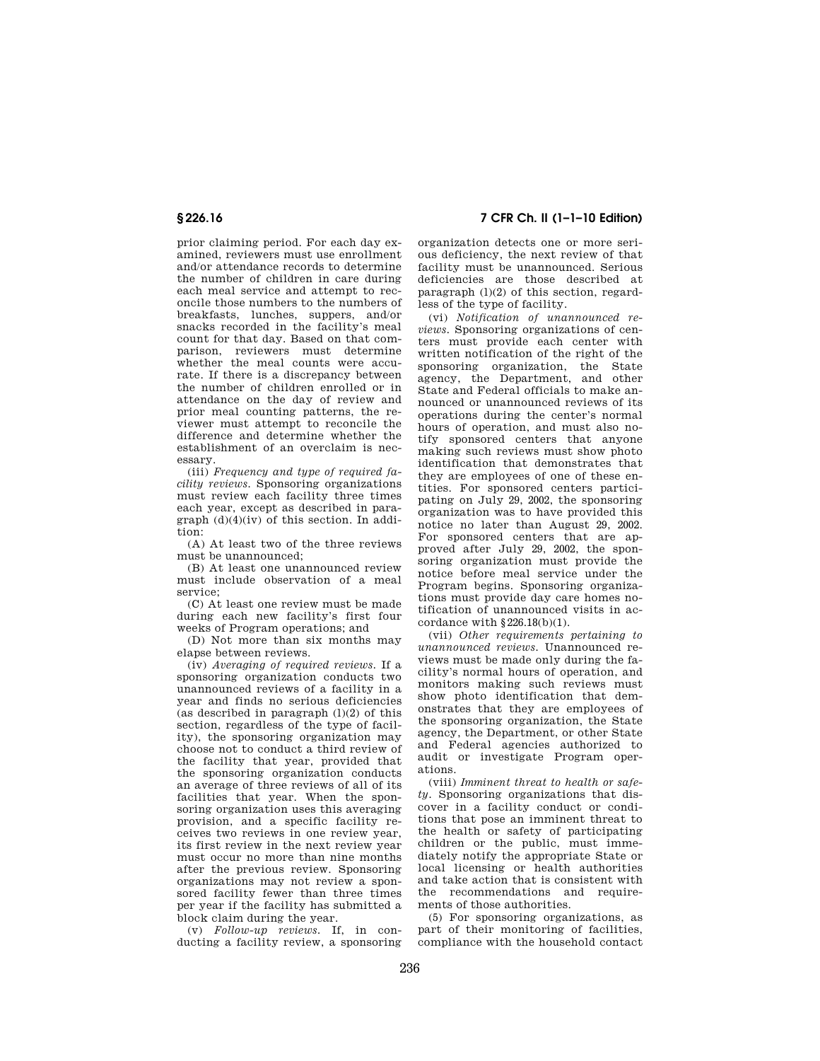prior claiming period. For each day examined, reviewers must use enrollment and/or attendance records to determine the number of children in care during each meal service and attempt to reconcile those numbers to the numbers of breakfasts, lunches, suppers, and/or snacks recorded in the facility's meal count for that day. Based on that comparison, reviewers must determine whether the meal counts were accurate. If there is a discrepancy between the number of children enrolled or in attendance on the day of review and prior meal counting patterns, the reviewer must attempt to reconcile the difference and determine whether the establishment of an overclaim is necessary.

(iii) *Frequency and type of required facility reviews.* Sponsoring organizations must review each facility three times each year, except as described in paragraph (d)(4)(iv) of this section. In addition:

(A) At least two of the three reviews must be unannounced;

(B) At least one unannounced review must include observation of a meal service;

(C) At least one review must be made during each new facility's first four weeks of Program operations; and

(D) Not more than six months may elapse between reviews.

(iv) *Averaging of required reviews.* If a sponsoring organization conducts two unannounced reviews of a facility in a year and finds no serious deficiencies (as described in paragraph  $(l)(2)$  of this section, regardless of the type of facility), the sponsoring organization may choose not to conduct a third review of the facility that year, provided that the sponsoring organization conducts an average of three reviews of all of its facilities that year. When the sponsoring organization uses this averaging provision, and a specific facility receives two reviews in one review year, its first review in the next review year must occur no more than nine months after the previous review. Sponsoring organizations may not review a sponsored facility fewer than three times per year if the facility has submitted a block claim during the year.

(v) *Follow-up reviews.* If, in conducting a facility review, a sponsoring

**§ 226.16 7 CFR Ch. II (1–1–10 Edition)** 

organization detects one or more serious deficiency, the next review of that facility must be unannounced. Serious deficiencies are those described at paragraph  $(1)(2)$  of this section, regardless of the type of facility.

(vi) *Notification of unannounced reviews.* Sponsoring organizations of centers must provide each center with written notification of the right of the sponsoring organization, the State agency, the Department, and other State and Federal officials to make announced or unannounced reviews of its operations during the center's normal hours of operation, and must also notify sponsored centers that anyone making such reviews must show photo identification that demonstrates that they are employees of one of these entities. For sponsored centers participating on July 29, 2002, the sponsoring organization was to have provided this notice no later than August 29, 2002. For sponsored centers that are approved after July 29, 2002, the sponsoring organization must provide the notice before meal service under the Program begins. Sponsoring organizations must provide day care homes notification of unannounced visits in accordance with  $\S 226.18(b)(1)$ .

(vii) *Other requirements pertaining to unannounced reviews.* Unannounced reviews must be made only during the facility's normal hours of operation, and monitors making such reviews must show photo identification that demonstrates that they are employees of the sponsoring organization, the State agency, the Department, or other State and Federal agencies authorized to audit or investigate Program operations.

(viii) *Imminent threat to health or safety.* Sponsoring organizations that discover in a facility conduct or conditions that pose an imminent threat to the health or safety of participating children or the public, must immediately notify the appropriate State or local licensing or health authorities and take action that is consistent with the recommendations and requirements of those authorities.

(5) For sponsoring organizations, as part of their monitoring of facilities, compliance with the household contact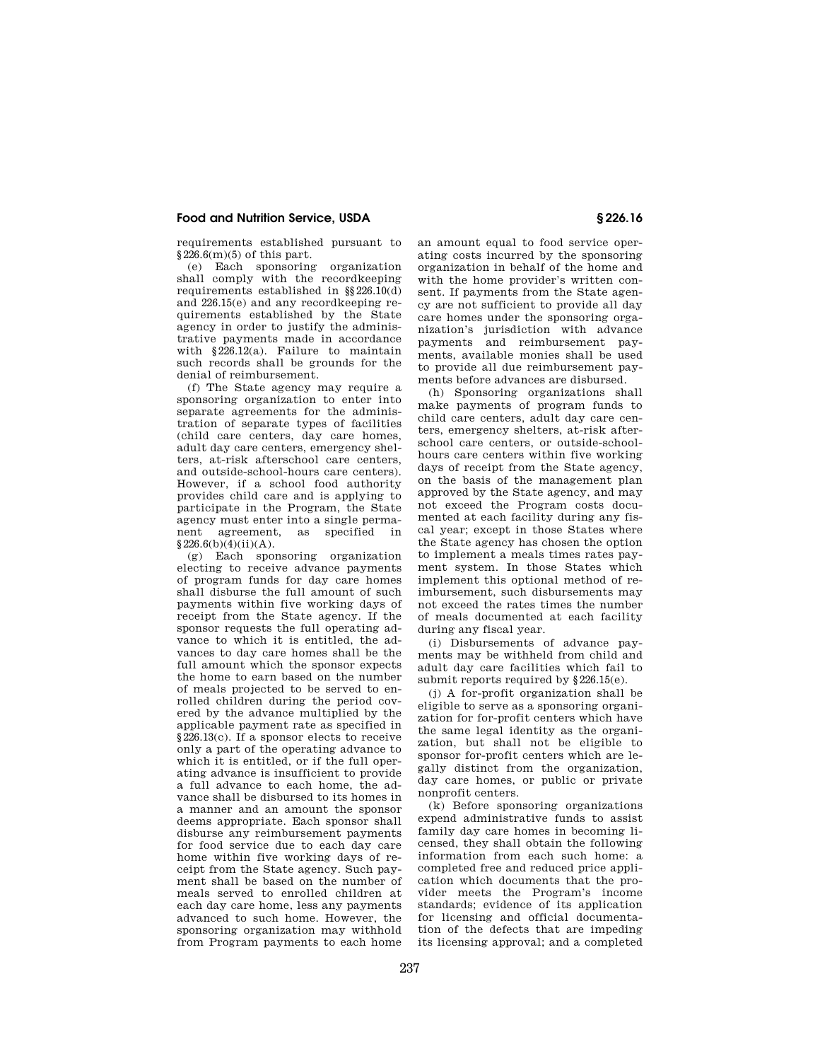# **Food and Nutrition Service, USDA § 226.16**

requirements established pursuant to  $§226.6(m)(5)$  of this part.

(e) Each sponsoring organization shall comply with the recordkeeping requirements established in §§226.10(d) and 226.15(e) and any recordkeeping requirements established by the State agency in order to justify the administrative payments made in accordance with §226.12(a). Failure to maintain such records shall be grounds for the denial of reimbursement.

(f) The State agency may require a sponsoring organization to enter into separate agreements for the administration of separate types of facilities (child care centers, day care homes, adult day care centers, emergency shelters, at-risk afterschool care centers, and outside-school-hours care centers). However, if a school food authority provides child care and is applying to participate in the Program, the State agency must enter into a single permanent agreement, as specified in  $§226.6(b)(4)(ii)(A).$ 

(g) Each sponsoring organization electing to receive advance payments of program funds for day care homes shall disburse the full amount of such payments within five working days of receipt from the State agency. If the sponsor requests the full operating advance to which it is entitled, the advances to day care homes shall be the full amount which the sponsor expects the home to earn based on the number of meals projected to be served to enrolled children during the period covered by the advance multiplied by the applicable payment rate as specified in §226.13(c). If a sponsor elects to receive only a part of the operating advance to which it is entitled, or if the full operating advance is insufficient to provide a full advance to each home, the advance shall be disbursed to its homes in a manner and an amount the sponsor deems appropriate. Each sponsor shall disburse any reimbursement payments for food service due to each day care home within five working days of receipt from the State agency. Such payment shall be based on the number of meals served to enrolled children at each day care home, less any payments advanced to such home. However, the sponsoring organization may withhold from Program payments to each home

an amount equal to food service operating costs incurred by the sponsoring organization in behalf of the home and with the home provider's written consent. If payments from the State agency are not sufficient to provide all day care homes under the sponsoring organization's jurisdiction with advance payments and reimbursement payments, available monies shall be used to provide all due reimbursement payments before advances are disbursed.

(h) Sponsoring organizations shall make payments of program funds to child care centers, adult day care centers, emergency shelters, at-risk afterschool care centers, or outside-schoolhours care centers within five working days of receipt from the State agency, on the basis of the management plan approved by the State agency, and may not exceed the Program costs documented at each facility during any fiscal year; except in those States where the State agency has chosen the option to implement a meals times rates payment system. In those States which implement this optional method of reimbursement, such disbursements may not exceed the rates times the number of meals documented at each facility during any fiscal year.

(i) Disbursements of advance payments may be withheld from child and adult day care facilities which fail to submit reports required by §226.15(e).

(j) A for-profit organization shall be eligible to serve as a sponsoring organization for for-profit centers which have the same legal identity as the organization, but shall not be eligible to sponsor for-profit centers which are legally distinct from the organization, day care homes, or public or private nonprofit centers.

(k) Before sponsoring organizations expend administrative funds to assist family day care homes in becoming licensed, they shall obtain the following information from each such home: a completed free and reduced price application which documents that the provider meets the Program's income standards; evidence of its application for licensing and official documentation of the defects that are impeding its licensing approval; and a completed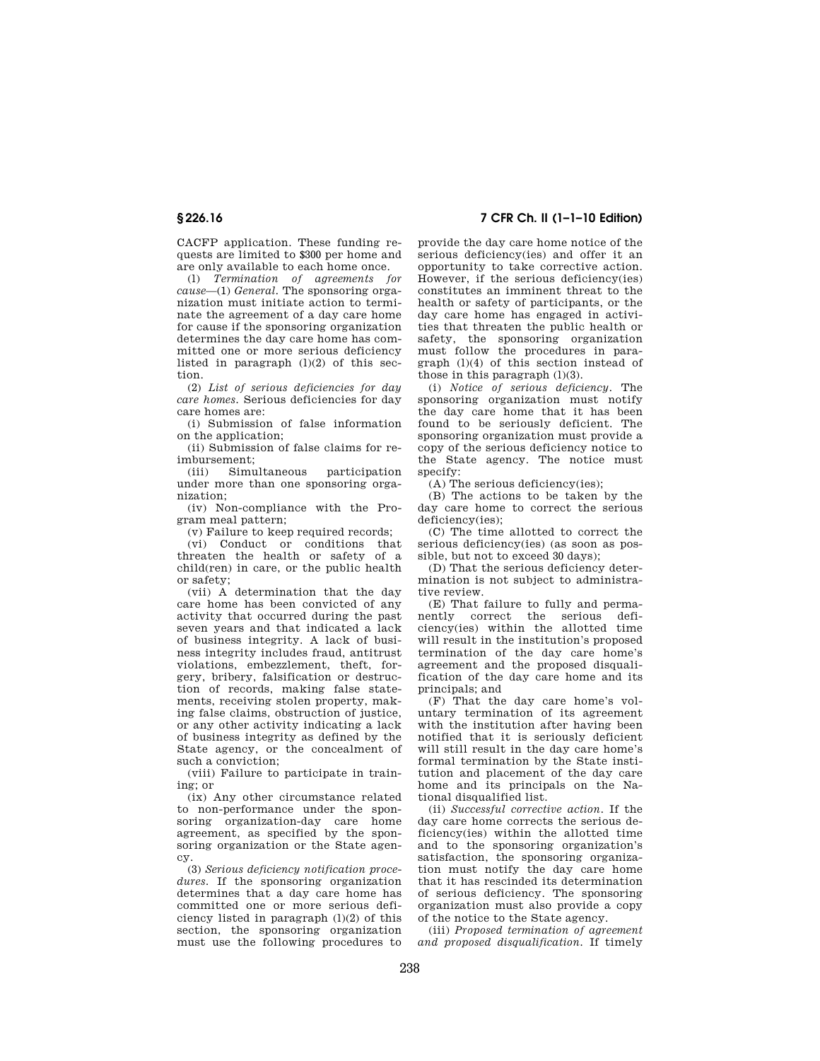CACFP application. These funding requests are limited to \$300 per home and are only available to each home once.

(l) *Termination of agreements for cause*—(1) *General.* The sponsoring organization must initiate action to terminate the agreement of a day care home for cause if the sponsoring organization determines the day care home has committed one or more serious deficiency listed in paragraph  $(l)(2)$  of this section.

(2) *List of serious deficiencies for day care homes.* Serious deficiencies for day care homes are:

(i) Submission of false information on the application;

(ii) Submission of false claims for reimbursement;<br>(iii) Simultaneous

(iii) Simultaneous participation under more than one sponsoring organization;

(iv) Non-compliance with the Program meal pattern;

(v) Failure to keep required records;

(vi) Conduct or conditions that threaten the health or safety of a child(ren) in care, or the public health or safety;

(vii) A determination that the day care home has been convicted of any activity that occurred during the past seven years and that indicated a lack of business integrity. A lack of business integrity includes fraud, antitrust violations, embezzlement, theft, forgery, bribery, falsification or destruction of records, making false statements, receiving stolen property, making false claims, obstruction of justice, or any other activity indicating a lack of business integrity as defined by the State agency, or the concealment of such a conviction;

(viii) Failure to participate in training; or

(ix) Any other circumstance related to non-performance under the sponsoring organization-day care home agreement, as specified by the sponsoring organization or the State agency.

(3) *Serious deficiency notification procedures.* If the sponsoring organization determines that a day care home has committed one or more serious deficiency listed in paragraph  $(l)(2)$  of this section, the sponsoring organization must use the following procedures to

# **§ 226.16 7 CFR Ch. II (1–1–10 Edition)**

provide the day care home notice of the serious deficiency(ies) and offer it an opportunity to take corrective action. However, if the serious deficiency(ies) constitutes an imminent threat to the health or safety of participants, or the day care home has engaged in activities that threaten the public health or safety, the sponsoring organization must follow the procedures in paragraph (l)(4) of this section instead of those in this paragraph  $(1)(3)$ .

(i) *Notice of serious deficiency.* The sponsoring organization must notify the day care home that it has been found to be seriously deficient. The sponsoring organization must provide a copy of the serious deficiency notice to the State agency. The notice must specify:

(A) The serious deficiency(ies);

(B) The actions to be taken by the day care home to correct the serious deficiency(ies);

(C) The time allotted to correct the serious deficiency(ies) (as soon as possible, but not to exceed 30 days);

(D) That the serious deficiency determination is not subject to administrative review.

(E) That failure to fully and permanently correct the serious deficiency(ies) within the allotted time will result in the institution's proposed termination of the day care home's agreement and the proposed disqualification of the day care home and its principals; and

(F) That the day care home's voluntary termination of its agreement with the institution after having been notified that it is seriously deficient will still result in the day care home's formal termination by the State institution and placement of the day care home and its principals on the National disqualified list.

(ii) *Successful corrective action.* If the day care home corrects the serious deficiency(ies) within the allotted time and to the sponsoring organization's satisfaction, the sponsoring organization must notify the day care home that it has rescinded its determination of serious deficiency. The sponsoring organization must also provide a copy of the notice to the State agency.

(iii) *Proposed termination of agreement and proposed disqualification.* If timely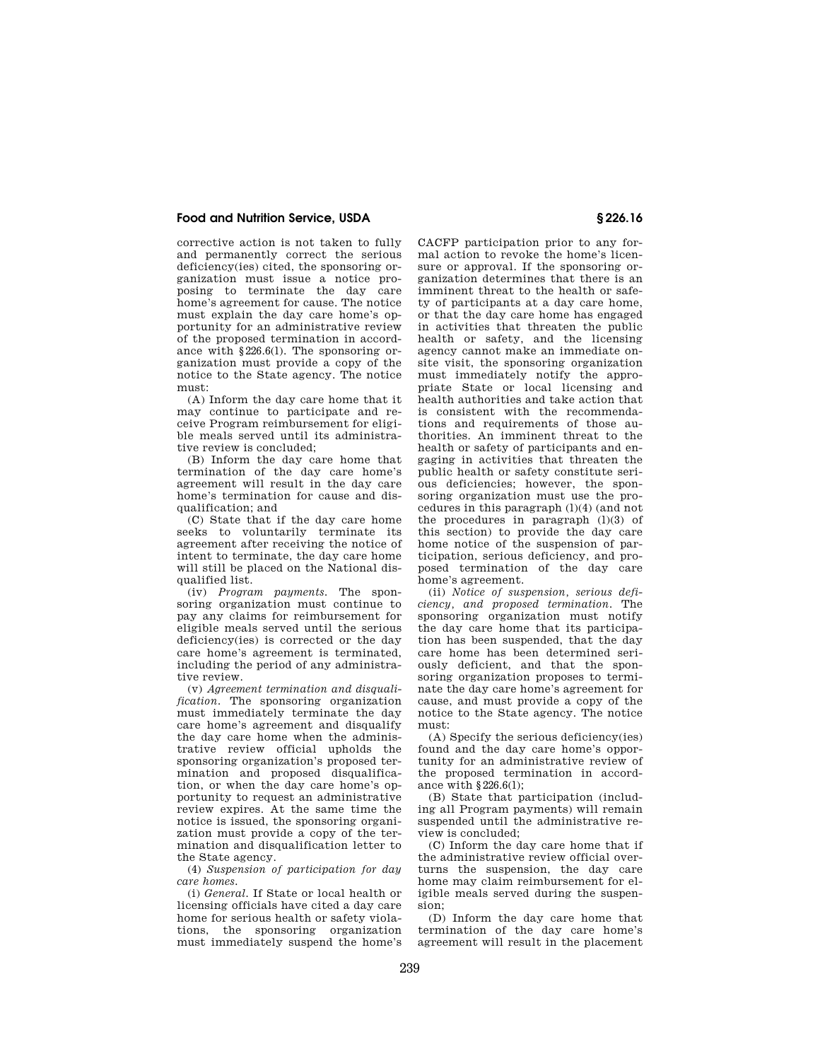# **Food and Nutrition Service, USDA § 226.16**

corrective action is not taken to fully and permanently correct the serious deficiency(ies) cited, the sponsoring organization must issue a notice proposing to terminate the day care home's agreement for cause. The notice must explain the day care home's opportunity for an administrative review of the proposed termination in accordance with §226.6(l). The sponsoring organization must provide a copy of the notice to the State agency. The notice must:

(A) Inform the day care home that it may continue to participate and receive Program reimbursement for eligible meals served until its administrative review is concluded;

(B) Inform the day care home that termination of the day care home's agreement will result in the day care home's termination for cause and disqualification; and

(C) State that if the day care home seeks to voluntarily terminate its agreement after receiving the notice of intent to terminate, the day care home will still be placed on the National disqualified list.

(iv) *Program payments.* The sponsoring organization must continue to pay any claims for reimbursement for eligible meals served until the serious deficiency(ies) is corrected or the day care home's agreement is terminated, including the period of any administrative review.

(v) *Agreement termination and disqualification.* The sponsoring organization must immediately terminate the day care home's agreement and disqualify the day care home when the administrative review official upholds the sponsoring organization's proposed termination and proposed disqualification, or when the day care home's opportunity to request an administrative review expires. At the same time the notice is issued, the sponsoring organization must provide a copy of the termination and disqualification letter to the State agency.

(4) *Suspension of participation for day care homes.* 

(i) *General.* If State or local health or licensing officials have cited a day care home for serious health or safety violations, the sponsoring organization must immediately suspend the home's CACFP participation prior to any formal action to revoke the home's licensure or approval. If the sponsoring organization determines that there is an imminent threat to the health or safety of participants at a day care home, or that the day care home has engaged in activities that threaten the public health or safety, and the licensing agency cannot make an immediate onsite visit, the sponsoring organization must immediately notify the appropriate State or local licensing and health authorities and take action that is consistent with the recommendations and requirements of those authorities. An imminent threat to the health or safety of participants and engaging in activities that threaten the public health or safety constitute serious deficiencies; however, the sponsoring organization must use the procedures in this paragraph (l)(4) (and not the procedures in paragraph  $(l)(3)$  of this section) to provide the day care home notice of the suspension of participation, serious deficiency, and proposed termination of the day care home's agreement.

(ii) *Notice of suspension, serious deficiency, and proposed termination.* The sponsoring organization must notify the day care home that its participation has been suspended, that the day care home has been determined seriously deficient, and that the sponsoring organization proposes to terminate the day care home's agreement for cause, and must provide a copy of the notice to the State agency. The notice must:

(A) Specify the serious deficiency(ies) found and the day care home's opportunity for an administrative review of the proposed termination in accordance with §226.6(l);

(B) State that participation (including all Program payments) will remain suspended until the administrative review is concluded;

(C) Inform the day care home that if the administrative review official overturns the suspension, the day care home may claim reimbursement for eligible meals served during the suspension;

(D) Inform the day care home that termination of the day care home's agreement will result in the placement